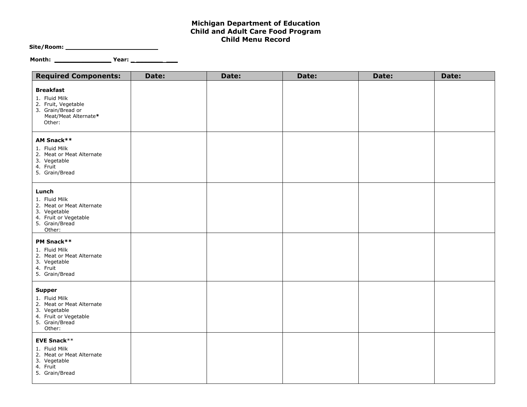## **Michigan Department of Education Child and Adult Care Food Program Child Menu Record**

 **Site/Room: \_\_\_\_\_\_\_\_\_\_\_\_\_\_\_\_\_\_\_\_\_\_\_\_** 

 **Month: \_\_\_\_\_\_\_\_\_\_\_\_\_\_\_ Year: \_ \_\_\_\_\_\_\_ \_\_\_**

| <b>Required Components:</b>                                                                                                      | Date: | Date: | Date: | Date: | Date: |
|----------------------------------------------------------------------------------------------------------------------------------|-------|-------|-------|-------|-------|
| <b>Breakfast</b><br>1. Fluid Milk<br>2. Fruit, Vegetable<br>3. Grain/Bread or<br>Meat/Meat Alternate*<br>Other:                  |       |       |       |       |       |
| <b>AM Snack**</b><br>1. Fluid Milk<br>2. Meat or Meat Alternate<br>3. Vegetable<br>4. Fruit<br>5. Grain/Bread                    |       |       |       |       |       |
| Lunch<br>1. Fluid Milk<br>2. Meat or Meat Alternate<br>3. Vegetable<br>4. Fruit or Vegetable<br>5. Grain/Bread<br>Other:         |       |       |       |       |       |
| PM Snack**<br>1. Fluid Milk<br>2. Meat or Meat Alternate<br>3. Vegetable<br>4. Fruit<br>5. Grain/Bread                           |       |       |       |       |       |
| <b>Supper</b><br>1. Fluid Milk<br>2. Meat or Meat Alternate<br>3. Vegetable<br>4. Fruit or Vegetable<br>5. Grain/Bread<br>Other: |       |       |       |       |       |
| <b>EVE Snack**</b><br>1. Fluid Milk<br>2. Meat or Meat Alternate<br>3. Vegetable<br>4. Fruit<br>5. Grain/Bread                   |       |       |       |       |       |